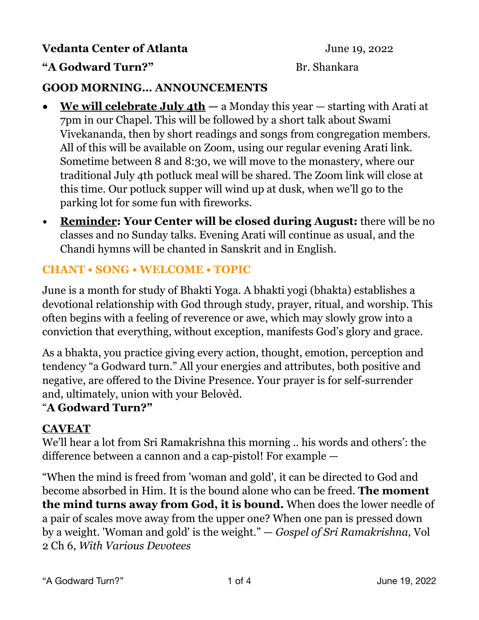## **Vedanta Center of Atlanta** June 19, 2022

## **"A Godward Turn?"** Br. Shankara

## **GOOD MORNING… ANNOUNCEMENTS**

- **• We will celebrate July 4th** a Monday this year starting with Arati at 7pm in our Chapel. This will be followed by a short talk about Swami Vivekananda, then by short readings and songs from congregation members. All of this will be available on Zoom, using our regular evening Arati link. Sometime between 8 and 8:30, we will move to the monastery, where our traditional July 4th potluck meal will be shared. The Zoom link will close at this time. Our potluck supper will wind up at dusk, when we'll go to the parking lot for some fun with fireworks.
- **Reminder: Your Center will be closed during August:** there will be no classes and no Sunday talks. Evening Arati will continue as usual, and the Chandi hymns will be chanted in Sanskrit and in English.

## **CHANT • SONG • WELCOME • TOPIC**

June is a month for study of Bhakti Yoga. A bhakti yogi (bhakta) establishes a devotional relationship with God through study, prayer, ritual, and worship. This often begins with a feeling of reverence or awe, which may slowly grow into a conviction that everything, without exception, manifests God's glory and grace.

As a bhakta, you practice giving every action, thought, emotion, perception and tendency "a Godward turn." All your energies and attributes, both positive and negative, are offered to the Divine Presence. Your prayer is for self-surrender and, ultimately, union with your Belovèd.

#### "**A Godward Turn?"**

#### **CAVEAT**

We'll hear a lot from Sri Ramakrishna this morning .. his words and others': the difference between a cannon and a cap-pistol! For example —

"When the mind is freed from 'woman and gold', it can be directed to God and become absorbed in Him. It is the bound alone who can be freed. **The moment the mind turns away from God, it is bound.** When does the lower needle of a pair of scales move away from the upper one? When one pan is pressed down by a weight. 'Woman and gold' is the weight." — *Gospel of Sri Ramakrishna,* Vol 2 Ch 6, *With Various Devotees*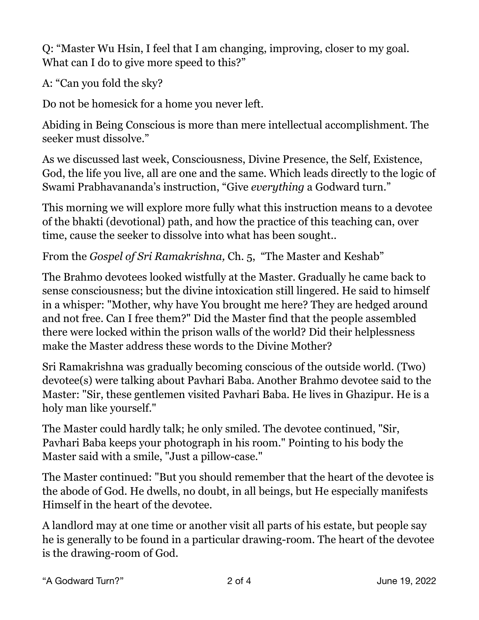Q: "Master Wu Hsin, I feel that I am changing, improving, closer to my goal. What can I do to give more speed to this?"

A: "Can you fold the sky?

Do not be homesick for a home you never left.

Abiding in Being Conscious is more than mere intellectual accomplishment. The seeker must dissolve."

As we discussed last week, Consciousness, Divine Presence, the Self, Existence, God, the life you live, all are one and the same. Which leads directly to the logic of Swami Prabhavananda's instruction, "Give *everything* a Godward turn."

This morning we will explore more fully what this instruction means to a devotee of the bhakti (devotional) path, and how the practice of this teaching can, over time, cause the seeker to dissolve into what has been sought..

From the *Gospel of Sri Ramakrishna,* Ch. 5, "The Master and Keshab"

The Brahmo devotees looked wistfully at the Master. Gradually he came back to sense consciousness; but the divine intoxication still lingered. He said to himself in a whisper: "Mother, why have You brought me here? They are hedged around and not free. Can I free them?" Did the Master find that the people assembled there were locked within the prison walls of the world? Did their helplessness make the Master address these words to the Divine Mother?

Sri Ramakrishna was gradually becoming conscious of the outside world. (Two) devotee(s) were talking about Pavhari Baba. Another Brahmo devotee said to the Master: "Sir, these gentlemen visited Pavhari Baba. He lives in Ghazipur. He is a holy man like yourself."

The Master could hardly talk; he only smiled. The devotee continued, "Sir, Pavhari Baba keeps your photograph in his room." Pointing to his body the Master said with a smile, "Just a pillow-case."

The Master continued: "But you should remember that the heart of the devotee is the abode of God. He dwells, no doubt, in all beings, but He especially manifests Himself in the heart of the devotee.

A landlord may at one time or another visit all parts of his estate, but people say he is generally to be found in a particular drawing-room. The heart of the devotee is the drawing-room of God.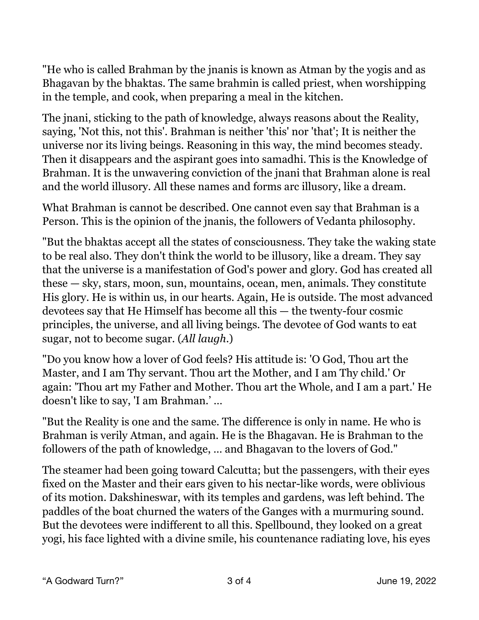"He who is called Brahman by the jnanis is known as Atman by the yogis and as Bhagavan by the bhaktas. The same brahmin is called priest, when worshipping in the temple, and cook, when preparing a meal in the kitchen.

The jnani, sticking to the path of knowledge, always reasons about the Reality, saying, 'Not this, not this'. Brahman is neither 'this' nor 'that'; It is neither the universe nor its living beings. Reasoning in this way, the mind becomes steady. Then it disappears and the aspirant goes into samadhi. This is the Knowledge of Brahman. It is the unwavering conviction of the jnani that Brahman alone is real and the world illusory. All these names and forms arc illusory, like a dream.

What Brahman is cannot be described. One cannot even say that Brahman is a Person. This is the opinion of the jnanis, the followers of Vedanta philosophy.

"But the bhaktas accept all the states of consciousness. They take the waking state to be real also. They don't think the world to be illusory, like a dream. They say that the universe is a manifestation of God's power and glory. God has created all these — sky, stars, moon, sun, mountains, ocean, men, animals. They constitute His glory. He is within us, in our hearts. Again, He is outside. The most advanced devotees say that He Himself has become all this — the twenty-four cosmic principles, the universe, and all living beings. The devotee of God wants to eat sugar, not to become sugar. (*All laugh*.)

"Do you know how a lover of God feels? His attitude is: 'O God, Thou art the Master, and I am Thy servant. Thou art the Mother, and I am Thy child.' Or again: 'Thou art my Father and Mother. Thou art the Whole, and I am a part.' He doesn't like to say, 'I am Brahman.' …

"But the Reality is one and the same. The difference is only in name. He who is Brahman is verily Atman, and again. He is the Bhagavan. He is Brahman to the followers of the path of knowledge, … and Bhagavan to the lovers of God."

The steamer had been going toward Calcutta; but the passengers, with their eyes fixed on the Master and their ears given to his nectar-like words, were oblivious of its motion. Dakshineswar, with its temples and gardens, was left behind. The paddles of the boat churned the waters of the Ganges with a murmuring sound. But the devotees were indifferent to all this. Spellbound, they looked on a great yogi, his face lighted with a divine smile, his countenance radiating love, his eyes